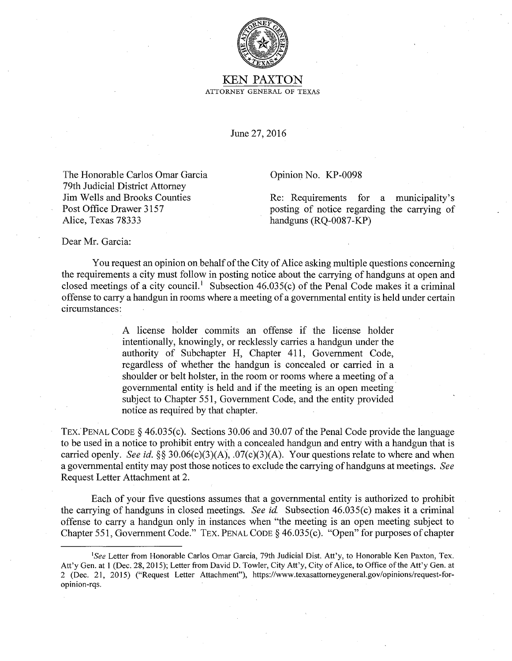

KEN PAXTON ATTORNEY GENERAL OF TEXAS

June 27, 2016

The Honorable Carlos Omar Garcia 79th Judicial District Attorney Jim Wells and Brooks Counties Post Office Drawer 3157 Alice, Texas 78333

Opinion No. KP-0098

Re: Requirements for a municipality's posting of notice regarding the carrying of handguns (RQ-0087-KP)

Dear Mr. Garcia:

You request an opinion on behalf of the City of Alice asking multiple questions concerning the requirements a city must follow in posting notice about the carrying of handguns at open and closed meetings of a city council.<sup>1</sup> Subsection 46.035(c) of the Penal Code makes it a criminal offense to carry a handgun in rooms where a meeting of a governmental entity is held under certain circumstances:

> A license holder commits an offense if the license holder intentionally, knowingly, or recklessly carries a handgun under the authority of Subchapter H, Chapter 411, Government Code, regardless of whether the handgun is concealed or carried in a shoulder or belt holster, in the room or rooms where a meeting of a governmental entity is held and if the meeting is an open meeting· subject to Chapter 551, Government Code, and the entity provided notice as required by that chapter.

TEX. PENAL CODE  $\S$  46.035(c). Sections 30.06 and 30.07 of the Penal Code provide the language to be used in a notice to prohibit entry with a concealed handgun and entry with a handgun that is carried openly. *See id.§§* 30.06(c)(3)(A), .07(c)(3)(A). Your questions relate to where and when a governmental entity may post those notices to exclude the carrying of handguns at meetings. *See*  Request Letter Attachment at 2.

Each of your five questions assumes that a governmental entity is authorized to prohibit the carrying of handguns in closed meetings. *See id.* Subsection 46.035(c) makes it a criminal offense to carry a handgun only in instances when "the meeting is an open meeting subject to Chapter 551, Government Code." TEX. PENAL CODE § 46.035(c). "Open" for purposes of chapter

*<sup>&#</sup>x27;See* Letter from Honorable Carlos Omar Garcia, 79th Judicial Dist. Att'y, to Honorable Ken Paxton, Tex. Att'y Gen. at 1 (Dec. 28, 2015); Letter from David D. Towler, City Att'y, City of Alice, to Office of the Att'y Gen. at 2 (Dec. 21, 2015) ("Request Letter Attachment"), https://www.texasattomeygeneral.gov/opinions/request-foropinion-rqs.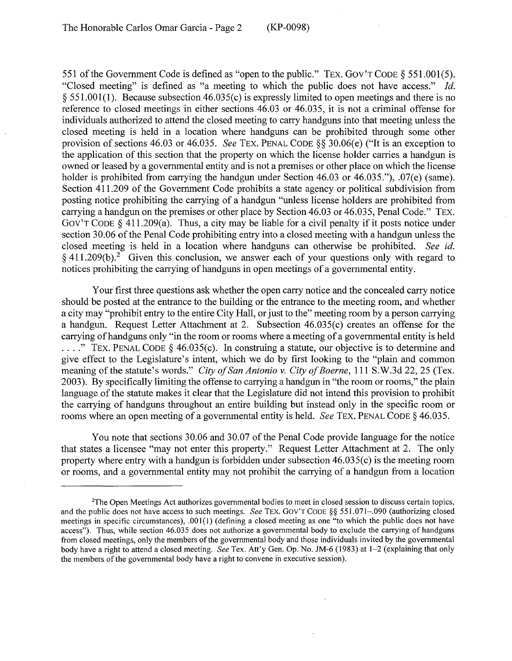551 of the Government Code is defined as "open to the public." TEX. Gov'T CODE§ 551.001(5). "Closed meeting" is defined as "a meeting to which the public does not have access." *Id.*   $\S$  551.001(1). Because subsection 46.035(c) is expressly limited to open meetings and there is no reference to closed meetings in either sections 46.03 or 46.035, it is not a criminal offense for individuals authorized to attend the closed meeting to carry handguns into that meeting unless the closed meeting is held in a location where handguns can be prohibited through some other provision of sections 46.03 or 46.035. *See* TEX. PENAL CODE§§ 30.06(e) ("It is an exception to the application of this section that the property on which the license holder carries a handgun is owned or leased by a governmental entity and is not a premises or other place on which the license holder is prohibited from carrying the handgun under Section 46.03 or 46.035."), .07(e) (same). Section 411.209 of the Government Code prohibits a state agency or political subdivision from posting notice prohibiting the carrying of a handgun "unless license holders are prohibited from carrying a handgun on the premises or other place by Section 46.03 or 46.035, Penal Code." TEX. GOV'T CODE  $\delta$  411.209(a). Thus, a city may be liable for a civil penalty if it posts notice under section 30.06 of the Penal Code prohibiting entry into a closed meeting with a handgun unless the closed meeting is held in a location where handguns can otherwise be prohibited. *See id.*   $§$  411.209(b).<sup>2</sup> Given this conclusion, we answer each of your questions only with regard to notices prohibiting the carrying of handguns in open meetings of a governmental entity.

Your first three questions ask whether the open carry notice and the concealed carry notice should be posted at the entrance to the building or the entrance to the meeting room, and whether a city may "prohibit entry to the entire City Hall, or just to the" meeting room by a person carrying a handgun. Request Letter Attachment at 2. Subsection 46.035(c) creates an offense for the carrying of handguns only "in the room or rooms where a meeting of a governmental entity is held .... " TEX. PENAL CODE§ 46.035(c). In construing a statute, our objective is to determine and give effect to the Legislature's intent, which we do by first looking to the "plain and common meaning of the statute's words." *City of San Antonio v. City of Boerne*, 111 S.W.3d 22, 25 (Tex. 2003). By specifically limiting the offense to carrying a handgun in "the room or rooms," the plain language of the statute makes it clear that the Legislature did not intend this provision to prohibit the carrying of handguns throughout an entire building but instead only in the specific room or rooms where an open meeting of a governmental entity is held. *See* TEX. PENAL CODE§ 46.035.

You note that sections 30.06 and 30.07 of the Penal Code provide language for the notice that states a licensee "may not enter this property." Request Letter Attachment at 2. The only property where entry with a handgun is forbidden under subsection  $46.035(c)$  is the meeting room or rooms, and a governmental entity may not prohibit the carrying of a handgun from a location

<sup>2</sup> The Open Meetings Act authorizes governmental bodies to meet in closed session to discuss certain topics, and the public does not have access to such meetings. *See* TEX. GOV'T CODE§§ 551.071-.090 (authorizing closed meetings in specific circumstances), .001(1) (defining a closed meeting as one "to which the public does not have access"). Thus, while section 46.035 does not authorize a governmental body to exclude the carrying of handguns from closed meetings, only the members of the governmental body and those individuals invited by the governmental body have a right to attend a closed meeting. *See* Tex. Att'y Gen. Op. No. JM-6 (1983) at 1-2 (explaining that only the members of the governmental body have a right to convene in executive session).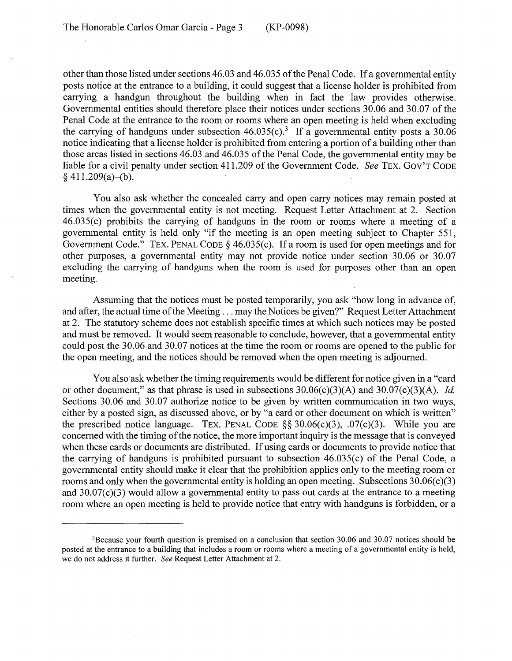other than those listed under sections 46.03 and 46.035 of the Penal Code. If a governmental entity posts notice at the entrance to a building, it could suggest that a license holder is prohibited from carrying a handgun throughout the building when in fact the law provides otherwise. Governmental entities should therefore place their notices under sections 30.06 and 30.07 of the Penal Code at the entrance to the room or rooms where an open meeting is held when excluding the carrying of handguns under subsection  $46.035(c)$ .<sup>3</sup> If a governmental entity posts a  $30.06$ notice indicating that a license holder is prohibited from entering a portion of a building other than those areas listed in sections 46.03 and 46.035 of the Penal Code, the governmental entity may be liable for a civil penalty under section 411.209 of the Government Code. *See TEX.* GOV'T CODE  $§$  411.209(a)–(b).

You also ask whether the concealed carry and open carry notices may remain posted at times when the governmental entity is not meeting. Request Letter Attachment at 2. Section 46.035(c) prohibits the carrying of handguns in the room or rooms where a meeting of a governmental entity is held only "if the meeting is an open meeting subject to Chapter 551, Government Code." TEX. PENAL CODE§ 46.035(c). If a room is used for open meetings and for other purposes, a governmental entity may not provide notice under section 30.06 or 30.07 excluding the carrying of handguns when the room is used for purposes other than an open meeting.

Assuming that the notices must be posted temporarily, you ask "how long in advance of, and after, the actual time of the Meeting ... may the Notices be given?" Request Letter Attachment at 2. The statutory scheme does not establish specific times at which such notices may be posted and must be removed. It would seem reasonable to conclude, however, that a governmental entity could post the 30.06 and 30.07 notices at the time the room or rooms are opened to the public for the open meeting, and the notices should be removed when the open meeting is adjourned.

You also ask whether the timing requirements would be different for notice given in a "card or other document," as that phrase is used in subsections 30.06(c)(3)(A) and 30.07(c)(3)(A). *Id.*  Sections 30.06 and 30.07 authorize notice to be given by written communication in two ways, either by a posted sign, as discussed above, or by "a card or other document on which is written" the prescribed notice language. TEX. PENAL CODE  $\S$ § 30.06(c)(3), .07(c)(3). While you are concerned with the timing of the notice, the more important inquiry is the message that is conveyed when these cards or documents are distributed. If using cards or documents to provide notice that the carrying of handguns is prohibited pursuant to subsection  $46.035(c)$  of the Penal Code, a governmental entity should make it clear that the prohibition applies only to the meeting room or rooms and only when the governmental entity is holding an open meeting. Subsections  $30.06(c)(3)$ and  $30.07(c)(3)$  would allow a governmental entity to pass out cards at the entrance to a meeting room where an open meeting is held to provide notice that entry with handguns is forbidden, or a

<sup>&</sup>lt;sup>3</sup>Because your fourth question is premised on a conclusion that section 30.06 and 30.07 notices should be posted at the entrance to a building that includes a room or rooms where a meeting of a governmental entity is held, we do not address it further. *See* Request Letter Attachment at 2.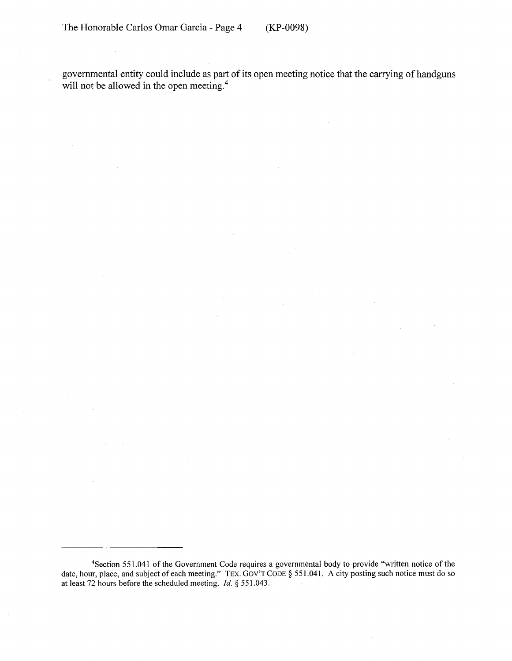governmental entity could include as part of its open meeting notice that the carrying of handguns will not be allowed in the open meeting. $4$ 

<sup>4</sup>Section 551.041 of the Government Code requires a governmental body to provide "written notice of the date, hour, place, and subject of each meeting." TEX. Gov'T CODE § 551.041. A city posting such notice must do so at least 72 hours before the scheduled meeting. *Id.* § 551.043.